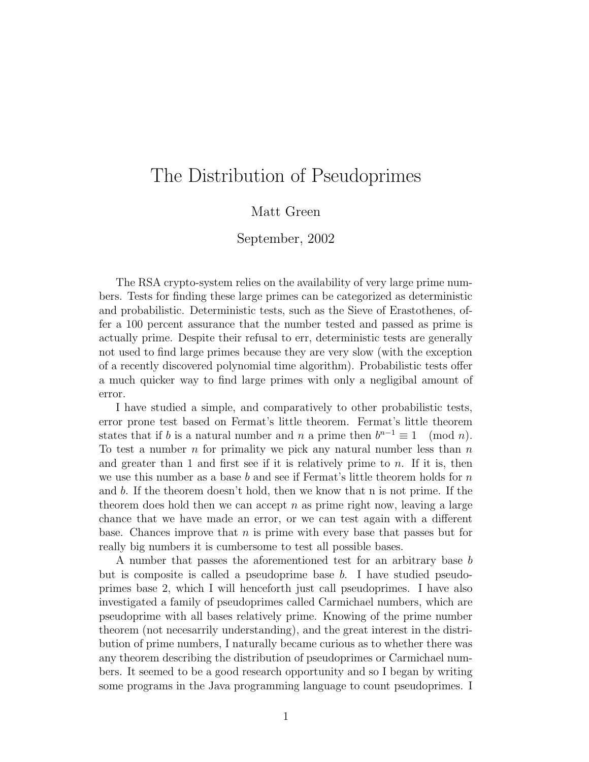## The Distribution of Pseudoprimes

## Matt Green

## September, 2002

The RSA crypto-system relies on the availability of very large prime numbers. Tests for finding these large primes can be categorized as deterministic and probabilistic. Deterministic tests, such as the Sieve of Erastothenes, offer a 100 percent assurance that the number tested and passed as prime is actually prime. Despite their refusal to err, deterministic tests are generally not used to find large primes because they are very slow (with the exception of a recently discovered polynomial time algorithm). Probabilistic tests offer a much quicker way to find large primes with only a negligibal amount of error.

I have studied a simple, and comparatively to other probabilistic tests, error prone test based on Fermat's little theorem. Fermat's little theorem states that if b is a natural number and n a prime then  $b^{n-1} \equiv 1 \pmod{n}$ . To test a number  $n$  for primality we pick any natural number less than  $n$ and greater than 1 and first see if it is relatively prime to  $n$ . If it is, then we use this number as a base b and see if Fermat's little theorem holds for  $n$ and b. If the theorem doesn't hold, then we know that n is not prime. If the theorem does hold then we can accept  $n$  as prime right now, leaving a large chance that we have made an error, or we can test again with a different base. Chances improve that  $n$  is prime with every base that passes but for really big numbers it is cumbersome to test all possible bases.

A number that passes the aforementioned test for an arbitrary base b but is composite is called a pseudoprime base  $b$ . I have studied pseudoprimes base 2, which I will henceforth just call pseudoprimes. I have also investigated a family of pseudoprimes called Carmichael numbers, which are pseudoprime with all bases relatively prime. Knowing of the prime number theorem (not necesarrily understanding), and the great interest in the distribution of prime numbers, I naturally became curious as to whether there was any theorem describing the distribution of pseudoprimes or Carmichael numbers. It seemed to be a good research opportunity and so I began by writing some programs in the Java programming language to count pseudoprimes. I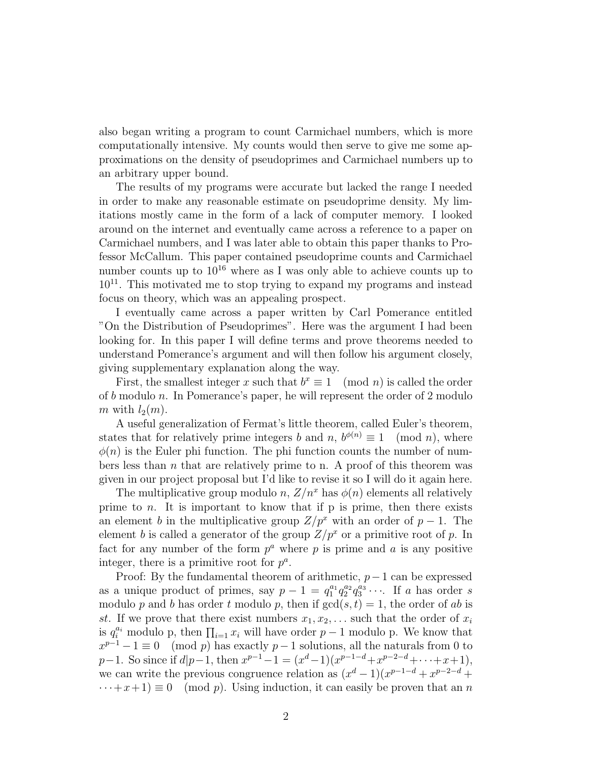also began writing a program to count Carmichael numbers, which is more computationally intensive. My counts would then serve to give me some approximations on the density of pseudoprimes and Carmichael numbers up to an arbitrary upper bound.

The results of my programs were accurate but lacked the range I needed in order to make any reasonable estimate on pseudoprime density. My limitations mostly came in the form of a lack of computer memory. I looked around on the internet and eventually came across a reference to a paper on Carmichael numbers, and I was later able to obtain this paper thanks to Professor McCallum. This paper contained pseudoprime counts and Carmichael number counts up to  $10^{16}$  where as I was only able to achieve counts up to  $10^{11}$ . This motivated me to stop trying to expand my programs and instead focus on theory, which was an appealing prospect.

I eventually came across a paper written by Carl Pomerance entitled "On the Distribution of Pseudoprimes". Here was the argument I had been looking for. In this paper I will define terms and prove theorems needed to understand Pomerance's argument and will then follow his argument closely, giving supplementary explanation along the way.

First, the smallest integer x such that  $b^x \equiv 1 \pmod{n}$  is called the order of b modulo n. In Pomerance's paper, he will represent the order of 2 modulo m with  $l_2(m)$ .

A useful generalization of Fermat's little theorem, called Euler's theorem, states that for relatively prime integers b and n,  $b^{\phi(n)} \equiv 1 \pmod{n}$ , where  $\phi(n)$  is the Euler phi function. The phi function counts the number of numbers less than  $n$  that are relatively prime to n. A proof of this theorem was given in our project proposal but I'd like to revise it so I will do it again here.

The multiplicative group modulo n,  $Z/n^x$  has  $\phi(n)$  elements all relatively prime to  $n$ . It is important to know that if  $p$  is prime, then there exists an element b in the multiplicative group  $Z/p^x$  with an order of  $p-1$ . The element b is called a generator of the group  $Z/p^x$  or a primitive root of p. In fact for any number of the form  $p^a$  where p is prime and a is any positive integer, there is a primitive root for  $p^a$ .

Proof: By the fundamental theorem of arithmetic,  $p-1$  can be expressed as a unique product of primes, say  $p-1 = q_1^{a_1} q_2^{a_2} q_3^{a_3} \cdots$ . If a has order s modulo p and b has order t modulo p, then if  $gcd(s, t) = 1$ , the order of ab is st. If we prove that there exist numbers  $x_1, x_2, \ldots$  such that the order of  $x_i$ is  $q_i^{a_i}$  modulo p, then  $\prod_{i=1} x_i$  will have order  $p-1$  modulo p. We know that  $x^{p-1} - 1 \equiv 0 \pmod{p}$  has exactly  $p-1$  solutions, all the naturals from 0 to  $p-1$ . So since if  $d|p-1$ , then  $x^{p-1}-1 = (x^d-1)(x^{p-1-d}+x^{p-2-d}+\cdots+x+1)$ , we can write the previous congruence relation as  $(x^d - 1)(x^{p-1-d} + x^{p-2-d} +$  $\cdots + x + 1 \equiv 0 \pmod{p}$ . Using induction, it can easily be proven that an n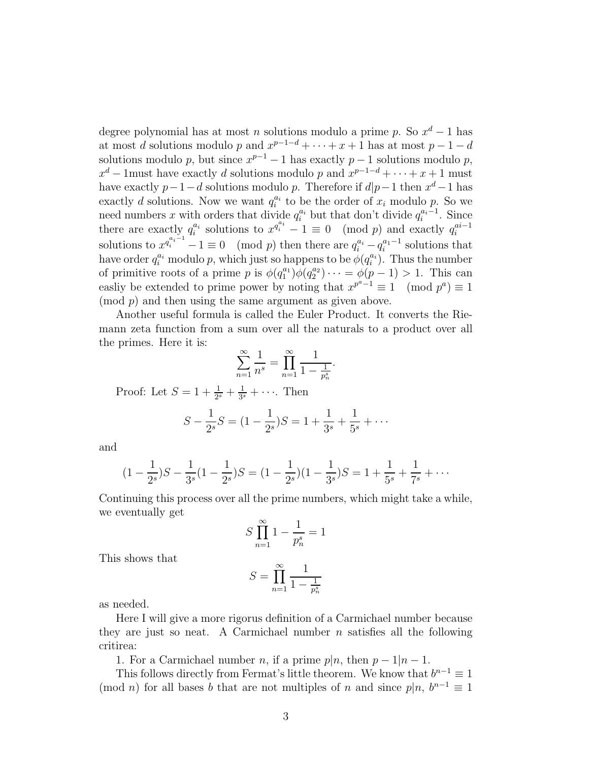degree polynomial has at most n solutions modulo a prime p. So  $x^d - 1$  has at most d solutions modulo p and  $x^{p-1-d} + \cdots + x + 1$  has at most  $p-1-d$ solutions modulo p, but since  $x^{p-1} - 1$  has exactly  $p - 1$  solutions modulo p,  $x^d$  – 1must have exactly d solutions modulo p and  $x^{p-1-d} + \cdots + x + 1$  must have exactly  $p-1-d$  solutions modulo p. Therefore if  $d|p-1$  then  $x^d-1$  has exactly d solutions. Now we want  $q_i^{a_i}$  to be the order of  $x_i$  modulo p. So we need numbers x with orders that divide  $q_i^{a_i}$  but that don't divide  $q_i^{a_i-1}$ . Since there are exactly  $q_i^{a_i}$  solutions to  $x^{q_i^{a_i}-1} \equiv 0 \pmod{p}$  and exactly  $q_i^{ai-1}$ solutions to  $x^{q_i^{a_i-1}} - 1 \equiv 0 \pmod{p}$  then there are  $q_i^{a_i} - q_i^{a_1-1}$  solutions that have order  $q_i^{a_i}$  modulo p, which just so happens to be  $\phi(q_i^{a_i})$ . Thus the number of primitive roots of a prime p is  $\phi(q_1^{a_1})\phi(q_2^{a_2})\cdots = \phi(p-1) > 1$ . This can easliy be extended to prime power by noting that  $x^{p^a-1} \equiv 1 \pmod{p^a} \equiv 1$  $\pmod{p}$  and then using the same argument as given above.

Another useful formula is called the Euler Product. It converts the Riemann zeta function from a sum over all the naturals to a product over all the primes. Here it is:

$$
\sum_{n=1}^{\infty} \frac{1}{n^s} = \prod_{n=1}^{\infty} \frac{1}{1 - \frac{1}{p_n^s}}.
$$

Proof: Let  $S = 1 + \frac{1}{2^s} + \frac{1}{3^s}$  $\frac{1}{3^s} + \cdots$  Then

$$
S - \frac{1}{2^{s}}S = (1 - \frac{1}{2^{s}})S = 1 + \frac{1}{3^{s}} + \frac{1}{5^{s}} + \cdots
$$

and

$$
(1 - \frac{1}{2^{s}})S - \frac{1}{3^{s}}(1 - \frac{1}{2^{s}})S = (1 - \frac{1}{2^{s}})(1 - \frac{1}{3^{s}})S = 1 + \frac{1}{5^{s}} + \frac{1}{7^{s}} + \cdots
$$

Continuing this process over all the prime numbers, which might take a while, we eventually get

$$
S\prod_{n=1}^{\infty}1-\frac{1}{p_n^s}=1
$$

This shows that

$$
S = \prod_{n=1}^{\infty} \frac{1}{1 - \frac{1}{p_n^s}}
$$

as needed.

Here I will give a more rigorus definition of a Carmichael number because they are just so neat. A Carmichael number  $n$  satisfies all the following critirea:

1. For a Carmichael number n, if a prime  $p|n$ , then  $p-1|n-1$ .

This follows directly from Fermat's little theorem. We know that  $b^{n-1} \equiv 1$ (mod *n*) for all bases b that are not multiples of n and since  $p|n, b^{n-1} \equiv 1$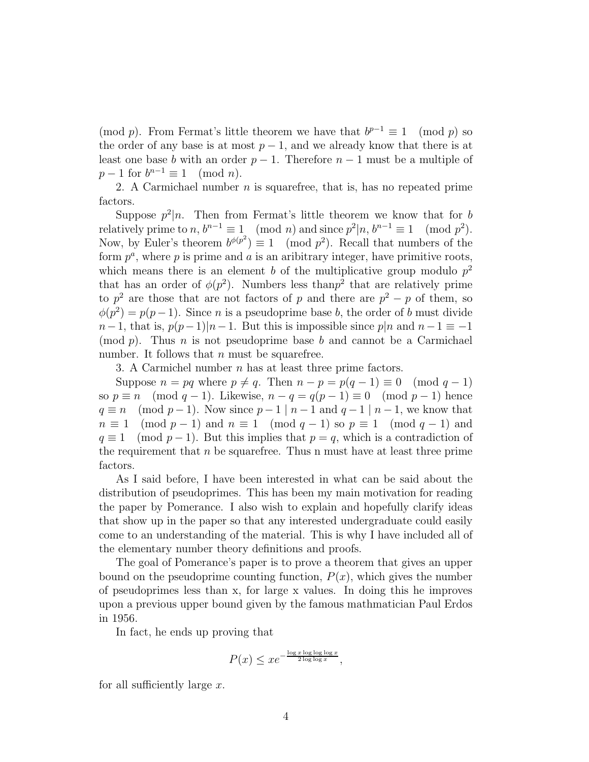(mod p). From Fermat's little theorem we have that  $b^{p-1} \equiv 1 \pmod{p}$  so the order of any base is at most  $p-1$ , and we already know that there is at least one base b with an order  $p-1$ . Therefore  $n-1$  must be a multiple of  $p-1$  for  $b^{n-1} \equiv 1 \pmod{n}$ .

2. A Carmichael number  $n$  is squarefree, that is, has no repeated prime factors.

Suppose  $p^2|n$ . Then from Fermat's little theorem we know that for b relatively prime to  $n, b^{n-1} \equiv 1 \pmod{n}$  and since  $p^2 | n, b^{n-1} \equiv 1 \pmod{p^2}$ . Now, by Euler's theorem  $b^{\phi(p^2)} \equiv 1 \pmod{p^2}$ . Recall that numbers of the form  $p^a$ , where p is prime and a is an aribitrary integer, have primitive roots, which means there is an element b of the multiplicative group modulo  $p^2$ that has an order of  $\phi(p^2)$ . Numbers less than  $p^2$  that are relatively prime to  $p^2$  are those that are not factors of p and there are  $p^2 - p$  of them, so  $\phi(p^2) = p(p-1)$ . Since *n* is a pseudoprime base *b*, the order of *b* must divide  $n-1$ , that is,  $p(p-1)|n-1$ . But this is impossible since p|n and  $n-1 \equiv -1$ (mod  $p$ ). Thus n is not pseudoprime base b and cannot be a Carmichael number. It follows that  $n$  must be squarefree.

3. A Carmichel number  $n$  has at least three prime factors.

Suppose  $n = pq$  where  $p \neq q$ . Then  $n - p = p(q - 1) \equiv 0 \pmod{q - 1}$ so  $p \equiv n \pmod{q-1}$ . Likewise,  $n - q = q(p-1) \equiv 0 \pmod{p-1}$  hence  $q \equiv n \pmod{p-1}$ . Now since  $p-1 \mid n-1$  and  $q-1 \mid n-1$ , we know that  $n \equiv 1 \pmod{p-1}$  and  $n \equiv 1 \pmod{q-1}$  so  $p \equiv 1 \pmod{q-1}$  and  $q \equiv 1 \pmod{p-1}$ . But this implies that  $p = q$ , which is a contradiction of the requirement that  $n$  be squarefree. Thus n must have at least three prime factors.

As I said before, I have been interested in what can be said about the distribution of pseudoprimes. This has been my main motivation for reading the paper by Pomerance. I also wish to explain and hopefully clarify ideas that show up in the paper so that any interested undergraduate could easily come to an understanding of the material. This is why I have included all of the elementary number theory definitions and proofs.

The goal of Pomerance's paper is to prove a theorem that gives an upper bound on the pseudoprime counting function,  $P(x)$ , which gives the number of pseudoprimes less than x, for large x values. In doing this he improves upon a previous upper bound given by the famous mathmatician Paul Erdos in 1956.

In fact, he ends up proving that

$$
P(x) \leq xe^{-\frac{\log x \log \log \log x}{2 \log \log x}},
$$

for all sufficiently large x.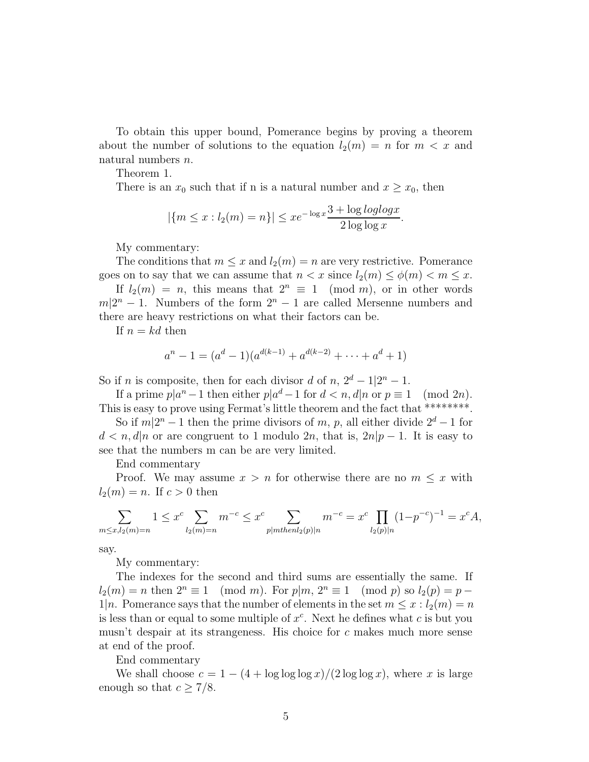To obtain this upper bound, Pomerance begins by proving a theorem about the number of solutions to the equation  $l_2(m) = n$  for  $m < x$  and natural numbers n.

Theorem 1.

There is an  $x_0$  such that if n is a natural number and  $x \ge x_0$ , then

$$
|\{m \le x : l_2(m) = n\}| \le xe^{-\log x} \frac{3 + \log \log \log x}{2 \log \log x}.
$$

My commentary:

The conditions that  $m \leq x$  and  $l_2(m) = n$  are very restrictive. Pomerance goes on to say that we can assume that  $n < x$  since  $l_2(m) \leq \phi(m) < m \leq x$ .

If  $l_2(m) = n$ , this means that  $2^n \equiv 1 \pmod{m}$ , or in other words  $m|2^n - 1$ . Numbers of the form  $2^n - 1$  are called Mersenne numbers and there are heavy restrictions on what their factors can be.

If  $n = kd$  then

$$
a^{n} - 1 = (a^{d} - 1)(a^{d(k-1)} + a^{d(k-2)} + \dots + a^{d} + 1)
$$

So if *n* is composite, then for each divisor d of  $n, 2^d - 1 \vert 2^n - 1$ .

If a prime  $p|a^n - 1$  then either  $p|a^d - 1$  for  $d < n$ ,  $d|n$  or  $p \equiv 1 \pmod{2n}$ . This is easy to prove using Fermat's little theorem and the fact that \*\*\*\*\*\*\*\*.

So if  $m|2^n - 1$  then the prime divisors of m, p, all either divide  $2^d - 1$  for  $d < n, d|n$  or are congruent to 1 modulo 2n, that is,  $2n|p-1$ . It is easy to see that the numbers m can be are very limited.

End commentary

Proof. We may assume  $x > n$  for otherwise there are no  $m \leq x$  with  $l_2(m) = n$ . If  $c > 0$  then

$$
\sum_{m \le x, l_2(m)=n} 1 \le x^c \sum_{l_2(m)=n} m^{-c} \le x^c \sum_{p | m \text{then } l_2(p) | n} m^{-c} = x^c \prod_{l_2(p) | n} (1 - p^{-c})^{-1} = x^c A,
$$

say.

My commentary:

The indexes for the second and third sums are essentially the same. If  $l_2(m) = n$  then  $2^n \equiv 1 \pmod{m}$ . For  $p|m, 2^n \equiv 1 \pmod{p}$  so  $l_2(p) = p$  –  $1|n$ . Pomerance says that the number of elements in the set  $m \leq x : l_2(m) = n$ is less than or equal to some multiple of  $x^c$ . Next he defines what c is but you musn't despair at its strangeness. His choice for  $c$  makes much more sense at end of the proof.

End commentary

We shall choose  $c = 1 - (4 + \log \log \log x)/(2 \log \log x)$ , where x is large enough so that  $c \geq \frac{7}{8}$ .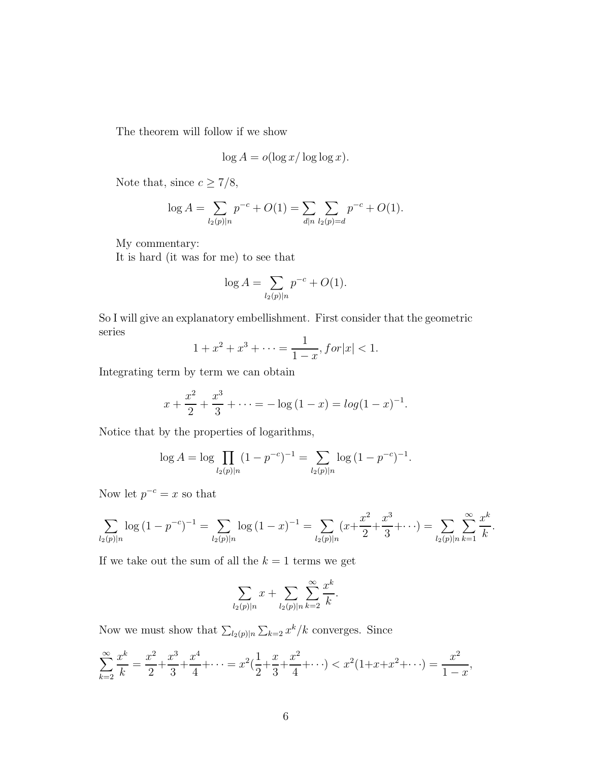The theorem will follow if we show

$$
\log A = o(\log x / \log \log x).
$$

Note that, since  $c \geq 7/8$ ,

$$
\log A = \sum_{l_2(p)|n} p^{-c} + O(1) = \sum_{d|n} \sum_{l_2(p)=d} p^{-c} + O(1).
$$

My commentary:

It is hard (it was for me) to see that

$$
\log A = \sum_{l_2(p)|n} p^{-c} + O(1).
$$

So I will give an explanatory embellishment. First consider that the geometric series

$$
1 + x^2 + x^3 + \dots = \frac{1}{1 - x}, \text{for } |x| < 1.
$$

Integrating term by term we can obtain

$$
x + \frac{x^2}{2} + \frac{x^3}{3} + \dots = -\log(1 - x) = \log(1 - x)^{-1}.
$$

Notice that by the properties of logarithms,

$$
\log A = \log \prod_{l_2(p)|n} (1 - p^{-c})^{-1} = \sum_{l_2(p)|n} \log (1 - p^{-c})^{-1}.
$$

Now let  $p^{-c} = x$  so that

$$
\sum_{l_2(p)|n} \log (1-p^{-c})^{-1} = \sum_{l_2(p)|n} \log (1-x)^{-1} = \sum_{l_2(p)|n} (x+\frac{x^2}{2}+\frac{x^3}{3}+\cdots) = \sum_{l_2(p)|n} \sum_{k=1}^{\infty} \frac{x^k}{k}.
$$

If we take out the sum of all the  $k = 1$  terms we get

$$
\sum_{l_2(p)|n} x + \sum_{l_2(p)|n} \sum_{k=2}^{\infty} \frac{x^k}{k}.
$$

Now we must show that  $\sum_{l_2(p)|n} \sum_{k=2} x^k / k$  converges. Since

$$
\sum_{k=2}^{\infty} \frac{x^k}{k} = \frac{x^2}{2} + \frac{x^3}{3} + \frac{x^4}{4} + \dots = x^2(\frac{1}{2} + \frac{x}{3} + \frac{x^2}{4} + \dots) < x^2(1 + x + x^2 + \dots) = \frac{x^2}{1 - x},
$$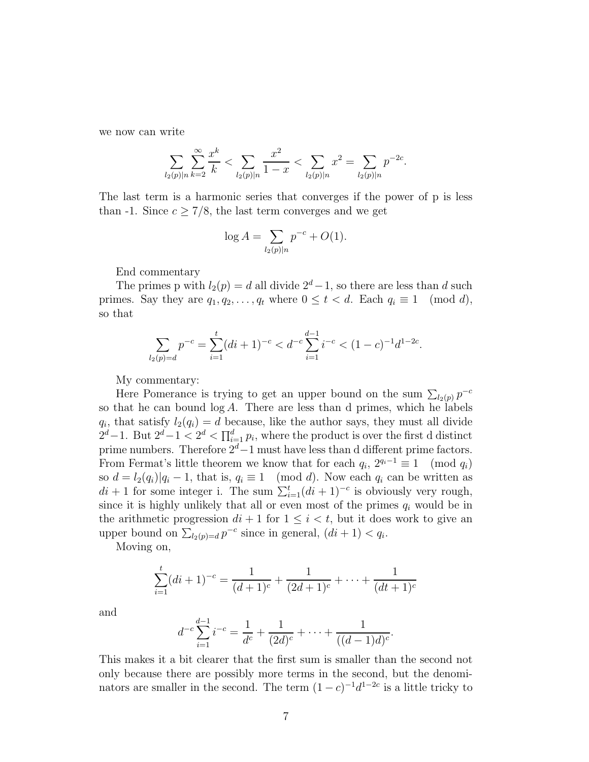we now can write

$$
\sum_{l_2(p)|n} \sum_{k=2}^{\infty} \frac{x^k}{k} < \sum_{l_2(p)|n} \frac{x^2}{1-x} < \sum_{l_2(p)|n} x^2 = \sum_{l_2(p)|n} p^{-2c}.
$$

The last term is a harmonic series that converges if the power of p is less than -1. Since  $c \geq 7/8$ , the last term converges and we get

$$
\log A = \sum_{l_2(p)|n} p^{-c} + O(1).
$$

End commentary

The primes p with  $l_2(p) = d$  all divide  $2^d-1$ , so there are less than d such primes. Say they are  $q_1, q_2, \ldots, q_t$  where  $0 \le t < d$ . Each  $q_i \equiv 1 \pmod{d}$ , so that

$$
\sum_{l_2(p)=d} p^{-c} = \sum_{i=1}^t (di+1)^{-c} < d^{-c} \sum_{i=1}^{d-1} i^{-c} < (1-c)^{-1} d^{1-2c}.
$$

My commentary:

Here Pomerance is trying to get an upper bound on the sum  $\sum_{l_2(p)} p^{-c}$ so that he can bound  $log A$ . There are less than d primes, which he labels  $q_i$ , that satisfy  $l_2(q_i) = d$  because, like the author says, they must all divide  $2^d-1$ . But  $2^d-1 < 2^d < \prod_{i=1}^d p_i$ , where the product is over the first d distinct prime numbers. Therefore  $2^d-1$  must have less than d different prime factors. From Fermat's little theorem we know that for each  $q_i$ ,  $2^{q_i-1} \equiv 1 \pmod{q_i}$ so  $d = l_2(q_i)|q_i - 1$ , that is,  $q_i \equiv 1 \pmod{d}$ . Now each  $q_i$  can be written as  $di + 1$  for some integer i. The sum  $\sum_{i=1}^{t} (di + 1)^{-c}$  is obviously very rough, since it is highly unlikely that all or even most of the primes  $q_i$  would be in the arithmetic progression  $di + 1$  for  $1 \leq i < t$ , but it does work to give an upper bound on  $\sum_{l_2(p)=d} p^{-c}$  since in general,  $(di + 1) < q_i$ .

Moving on,

$$
\sum_{i=1}^{t} (di+1)^{-c} = \frac{1}{(d+1)^{c}} + \frac{1}{(2d+1)^{c}} + \dots + \frac{1}{(dt+1)^{c}}
$$

and

$$
d^{-c} \sum_{i=1}^{d-1} i^{-c} = \frac{1}{d^c} + \frac{1}{(2d)^c} + \dots + \frac{1}{((d-1)d)^c}.
$$

This makes it a bit clearer that the first sum is smaller than the second not only because there are possibly more terms in the second, but the denominators are smaller in the second. The term  $(1-c)^{-1}d^{1-2c}$  is a little tricky to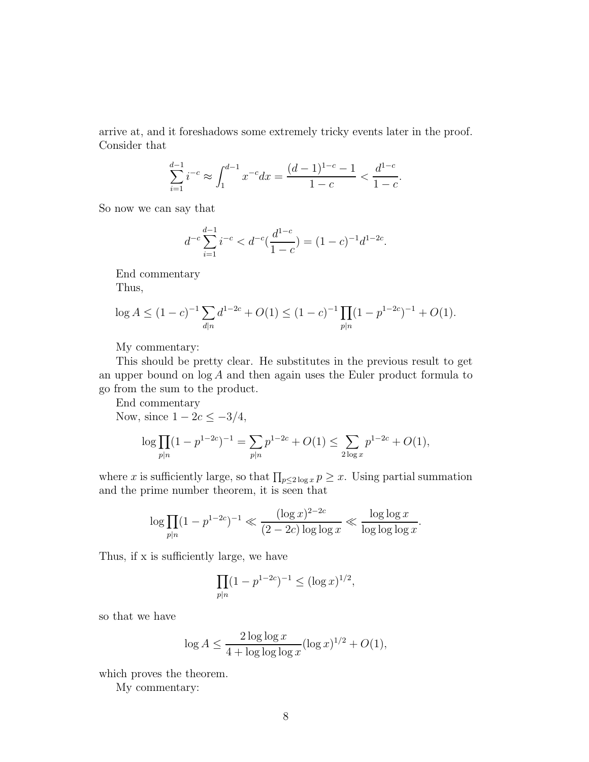arrive at, and it foreshadows some extremely tricky events later in the proof. Consider that

$$
\sum_{i=1}^{d-1} i^{-c} \approx \int_1^{d-1} x^{-c} dx = \frac{(d-1)^{1-c} - 1}{1-c} < \frac{d^{1-c}}{1-c}.
$$

So now we can say that

$$
d^{-c} \sum_{i=1}^{d-1} i^{-c} < d^{-c} \left( \frac{d^{1-c}}{1-c} \right) = (1-c)^{-1} d^{1-2c}.
$$

End commentary

Thus,

$$
\log A \le (1 - c)^{-1} \sum_{d|n} d^{1-2c} + O(1) \le (1 - c)^{-1} \prod_{p|n} (1 - p^{1-2c})^{-1} + O(1).
$$

My commentary:

This should be pretty clear. He substitutes in the previous result to get an upper bound on  $\log A$  and then again uses the Euler product formula to go from the sum to the product.

End commentary

Now, since  $1 - 2c \le -3/4$ ,

$$
\log \prod_{p|n} (1 - p^{1-2c})^{-1} = \sum_{p|n} p^{1-2c} + O(1) \le \sum_{2 \log x} p^{1-2c} + O(1),
$$

where x is sufficiently large, so that  $\prod_{p\leq 2 \log x} p \geq x$ . Using partial summation and the prime number theorem, it is seen that

$$
\log \prod_{p|n} (1 - p^{1-2c})^{-1} \ll \frac{(\log x)^{2-2c}}{(2 - 2c) \log \log x} \ll \frac{\log \log x}{\log \log \log x}.
$$

Thus, if x is sufficiently large, we have

$$
\prod_{p|n} (1 - p^{1-2c})^{-1} \le (\log x)^{1/2},
$$

so that we have

$$
\log A \le \frac{2\log\log x}{4 + \log\log\log x} (\log x)^{1/2} + O(1),
$$

which proves the theorem.

My commentary: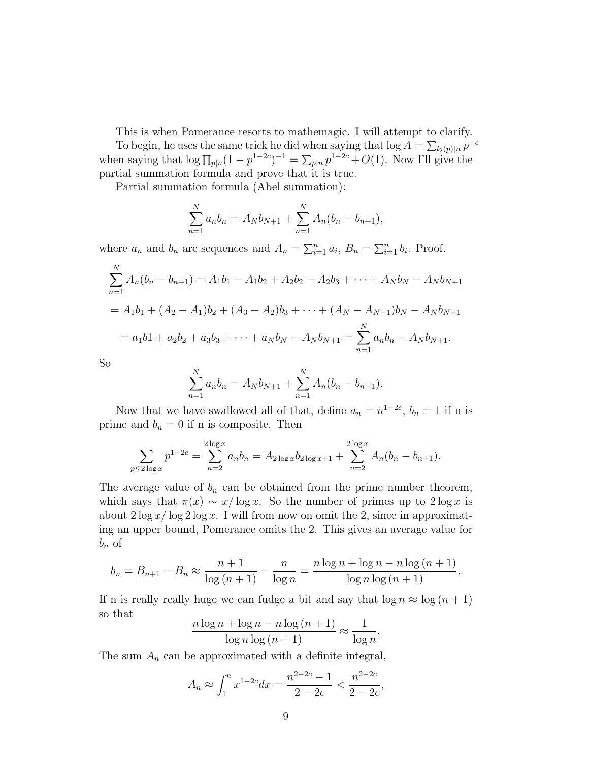This is when Pomerance resorts to mathemagic. I will attempt to clarify.

To begin, he uses the same trick he did when saying that  $\log A = \sum_{l_2(p)|n} p^{-c}$ when saying that  $\log \prod_{p|n}(1-p^{1-2c})^{-1} = \sum_{p|n} p^{1-2c} + O(1)$ . Now I'll give the partial summation formula and prove that it is true.

Partial summation formula (Abel summation):

$$
\sum_{n=1}^{N} a_n b_n = A_N b_{N+1} + \sum_{n=1}^{N} A_n (b_n - b_{n+1}),
$$

where  $a_n$  and  $b_n$  are sequences and  $A_n = \sum_{i=1}^n a_i$ ,  $B_n = \sum_{i=1}^n b_i$ . Proof.

$$
\sum_{n=1}^{N} A_n(b_n - b_{n+1}) = A_1b_1 - A_1b_2 + A_2b_2 - A_2b_3 + \dots + A_Nb_N - A_Nb_{N+1}
$$
  
=  $A_1b_1 + (A_2 - A_1)b_2 + (A_3 - A_2)b_3 + \dots + (A_N - A_{N-1})b_N - A_Nb_{N+1}$   
=  $a_1b_1 + a_2b_2 + a_3b_3 + \dots + a_Nb_N - A_Nb_{N+1} = \sum_{n=1}^{N} a_nb_n - A_Nb_{N+1}.$ 

So

$$
\sum_{n=1}^{N} a_n b_n = A_N b_{N+1} + \sum_{n=1}^{N} A_n (b_n - b_{n+1}).
$$

Now that we have swallowed all of that, define  $a_n = n^{1-2c}$ ,  $b_n = 1$  if n is prime and  $b_n = 0$  if n is composite. Then

$$
\sum_{p\leq 2\log x} p^{1-2c} = \sum_{n=2}^{2\log x} a_n b_n = A_{2\log x} b_{2\log x+1} + \sum_{n=2}^{2\log x} A_n (b_n - b_{n+1}).
$$

The average value of  $b_n$  can be obtained from the prime number theorem, which says that  $\pi(x) \sim x/\log x$ . So the number of primes up to  $2\log x$  is about  $2 \log x / \log 2 \log x$ . I will from now on omit the 2, since in approximating an upper bound, Pomerance omits the 2. This gives an average value for  $b_n$  of

$$
b_n = B_{n+1} - B_n \approx \frac{n+1}{\log (n+1)} - \frac{n}{\log n} = \frac{n \log n + \log n - n \log (n+1)}{\log n \log (n+1)}.
$$

If n is really really huge we can fudge a bit and say that  $\log n \approx \log (n + 1)$ so that

$$
\frac{n\log n + \log n - n\log\left(n+1\right)}{\log n \log\left(n+1\right)} \approx \frac{1}{\log n}.
$$

The sum  $A_n$  can be approximated with a definite integral,

$$
A_n \approx \int_1^n x^{1-2c} dx = \frac{n^{2-2c} - 1}{2 - 2c} < \frac{n^{2-2c}}{2 - 2c}
$$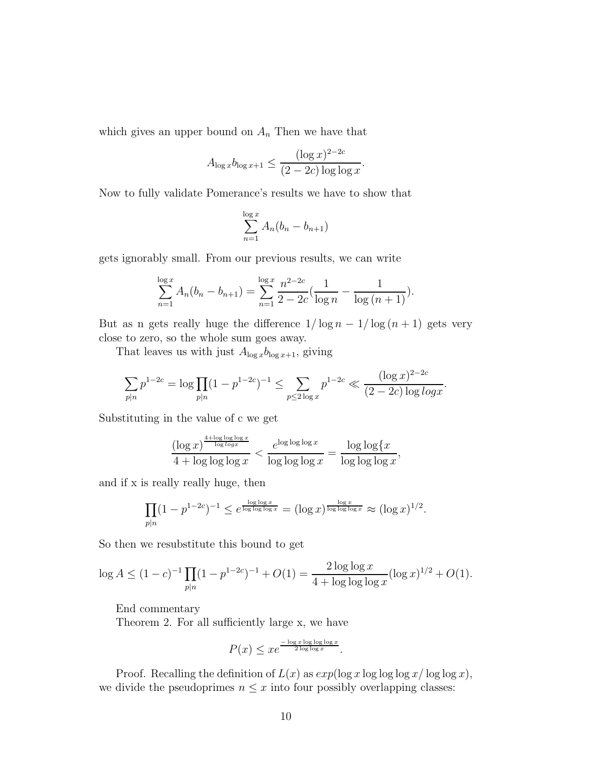which gives an upper bound on  $A_n$  Then we have that

$$
A_{\log x} b_{\log x + 1} \le \frac{(\log x)^{2 - 2c}}{(2 - 2c) \log \log x}.
$$

Now to fully validate Pomerance's results we have to show that

$$
\sum_{n=1}^{\log x} A_n (b_n - b_{n+1})
$$

gets ignorably small. From our previous results, we can write

$$
\sum_{n=1}^{\log x} A_n (b_n - b_{n+1}) = \sum_{n=1}^{\log x} \frac{n^{2-2c}}{2-2c} (\frac{1}{\log n} - \frac{1}{\log (n+1)}).
$$

But as n gets really huge the difference  $1/\log n - 1/\log (n + 1)$  gets very close to zero, so the whole sum goes away.

That leaves us with just  $A_{\log x}b_{\log x+1}$ , giving

$$
\sum_{p|n} p^{1-2c} = \log \prod_{p|n} (1-p^{1-2c})^{-1} \le \sum_{p \le 2\log x} p^{1-2c} \ll \frac{(\log x)^{2-2c}}{(2-2c)\log\log x}.
$$

Substituting in the value of c we get

$$
\frac{(\log x)^{\frac{4+\log\log\log x}{\log\log x}}}{4+\log\log\log x} < \frac{e^{\log\log\log x}}{\log\log\log x} = \frac{\log\log\{x}{\log\log\log x},
$$

and if x is really really huge, then

$$
\prod_{p|n} (1-p^{1-2c})^{-1} \le e^{\frac{\log\log x}{\log\log\log x}} = (\log x)^{\frac{\log x}{\log\log\log x}} \approx (\log x)^{1/2}.
$$

So then we resubstitute this bound to get

$$
\log A \le (1 - c)^{-1} \prod_{p \mid n} (1 - p^{1 - 2c})^{-1} + O(1) = \frac{2 \log \log x}{4 + \log \log \log x} (\log x)^{1/2} + O(1).
$$

End commentary

Theorem 2. For all sufficiently large x, we have

$$
P(x) \leq xe^{\frac{-\log x \log \log \log x}{2 \log \log x}}.
$$

Proof. Recalling the definition of  $L(x)$  as  $exp(\log x \log \log x / \log \log x)$ , we divide the pseudoprimes  $n \leq x$  into four possibly overlapping classes: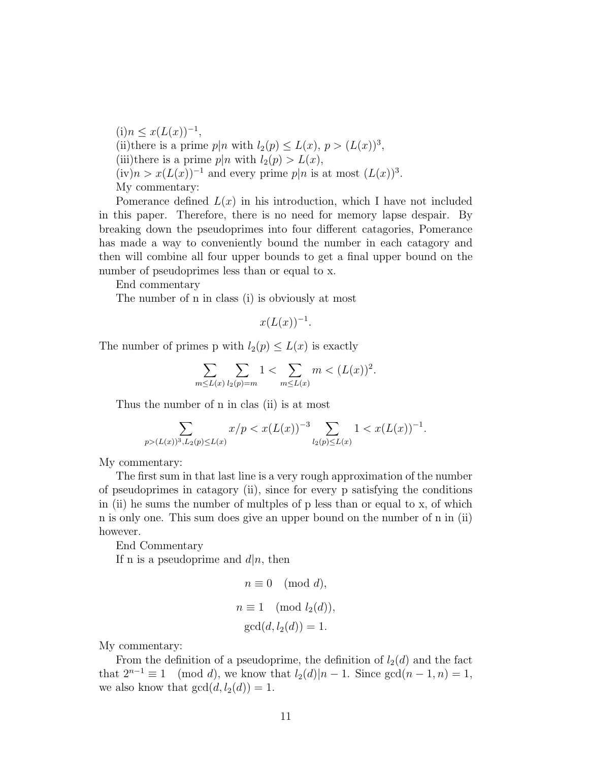$(i) n \leq x(L(x))^{-1},$ (ii)there is a prime  $p|n$  with  $l_2(p) \le L(x)$ ,  $p > (L(x))^3$ , (iii)there is a prime  $p|n$  with  $l_2(p) > L(x)$ ,  $(iv)n > x(L(x))^{-1}$  and every prime  $p|n$  is at most  $(L(x))^{3}$ . My commentary:

Pomerance defined  $L(x)$  in his introduction, which I have not included in this paper. Therefore, there is no need for memory lapse despair. By breaking down the pseudoprimes into four different catagories, Pomerance has made a way to conveniently bound the number in each catagory and then will combine all four upper bounds to get a final upper bound on the number of pseudoprimes less than or equal to x.

End commentary

The number of n in class (i) is obviously at most

$$
x(L(x))^{-1}.
$$

The number of primes p with  $l_2(p) \leq L(x)$  is exactly

$$
\sum_{m \le L(x)} \sum_{l_2(p)=m} 1 < \sum_{m \le L(x)} m < (L(x))^2.
$$

Thus the number of n in clas (ii) is at most

$$
\sum_{p>(L(x))^3, L_2(p)\le L(x)} x/p < x(L(x))^{-3} \sum_{l_2(p)\le L(x)} 1 < x(L(x))^{-1}.
$$

My commentary:

The first sum in that last line is a very rough approximation of the number of pseudoprimes in catagory (ii), since for every p satisfying the conditions in (ii) he sums the number of multples of p less than or equal to x, of which n is only one. This sum does give an upper bound on the number of n in (ii) however.

End Commentary

If n is a pseudoprime and  $d|n$ , then

$$
n \equiv 0 \pmod{d},
$$
  
\n
$$
n \equiv 1 \pmod{l_2(d)},
$$
  
\n
$$
\gcd(d, l_2(d)) = 1.
$$

My commentary:

From the definition of a pseudoprime, the definition of  $l_2(d)$  and the fact that  $2^{n-1} \equiv 1 \pmod{d}$ , we know that  $l_2(d)|n-1$ . Since  $gcd(n-1, n) = 1$ ,  $t_{\text{mod } d}$ , we know that  $l_2(d)|n-1$ . Since  $\gcd(n-1, n) = 1$ , we also know that  $gcd(d, l_2(d)) = 1$ .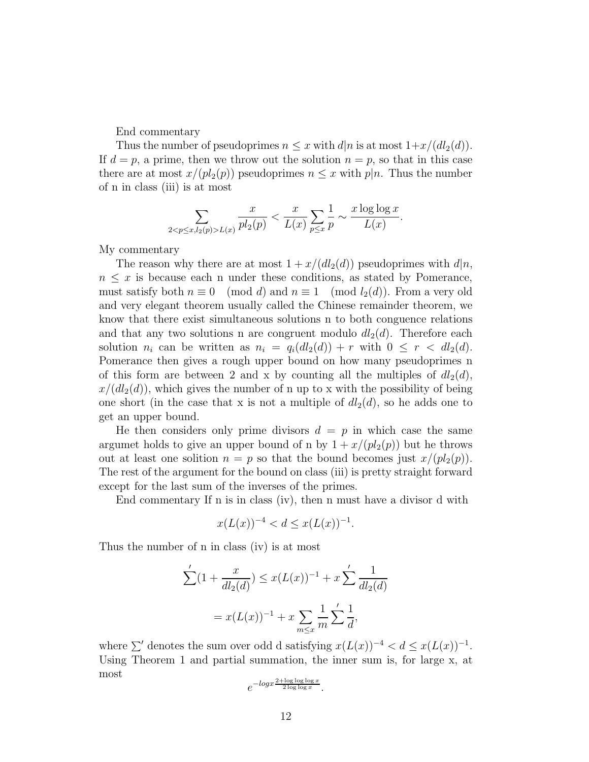End commentary

Thus the number of pseudoprimes  $n \leq x$  with  $d|n$  is at most  $1+x/(dl_2(d))$ . If  $d = p$ , a prime, then we throw out the solution  $n = p$ , so that in this case there are at most  $x/(pl_2(p))$  pseudoprimes  $n \leq x$  with  $p|n$ . Thus the number of n in class (iii) is at most

$$
\sum_{2 < p \le x, l_2(p) > L(x)} \frac{x}{p l_2(p)} < \frac{x}{L(x)} \sum_{p \le x} \frac{1}{p} \sim \frac{x \log \log x}{L(x)}.
$$

My commentary

The reason why there are at most  $1 + x/(d l_2(d))$  pseudoprimes with  $d|n$ ,  $n \leq x$  is because each n under these conditions, as stated by Pomerance, must satisfy both  $n \equiv 0 \pmod{d}$  and  $n \equiv 1 \pmod{l_2(d)}$ . From a very old and very elegant theorem usually called the Chinese remainder theorem, we know that there exist simultaneous solutions n to both conguence relations and that any two solutions n are congruent modulo  $dl_2(d)$ . Therefore each solution  $n_i$  can be written as  $n_i = q_i(d l_2(d)) + r$  with  $0 \leq r < d l_2(d)$ . Pomerance then gives a rough upper bound on how many pseudoprimes n of this form are between 2 and x by counting all the multiples of  $dl_2(d)$ ,  $x/(d l_2(d))$ , which gives the number of n up to x with the possibility of being one short (in the case that x is not a multiple of  $dl_2(d)$ , so he adds one to get an upper bound.

He then considers only prime divisors  $d = p$  in which case the same argumet holds to give an upper bound of n by  $1 + x/(p_2(p))$  but he throws out at least one solition  $n = p$  so that the bound becomes just  $x/(p_2(p))$ . The rest of the argument for the bound on class (iii) is pretty straight forward except for the last sum of the inverses of the primes.

End commentary If n is in class (iv), then n must have a divisor d with

$$
x(L(x))^{-4} < d \le x(L(x))^{-1}.
$$

Thus the number of n in class (iv) is at most

$$
\sum'(1 + \frac{x}{dl_2(d)}) \le x(L(x))^{-1} + x \sum' \frac{1}{dl_2(d)}
$$
  
=  $x(L(x))^{-1} + x \sum_{m \le x} \frac{1}{m} \sum' \frac{1}{d}$ ,

where  $\sum'$  denotes the sum over odd d satisfying  $x(L(x))^{-4} < d \leq x(L(x))^{-1}$ . Using Theorem 1 and partial summation, the inner sum is, for large x, at most

$$
e^{-\log x \frac{2+\log\log\log x}{2\log\log x}}.
$$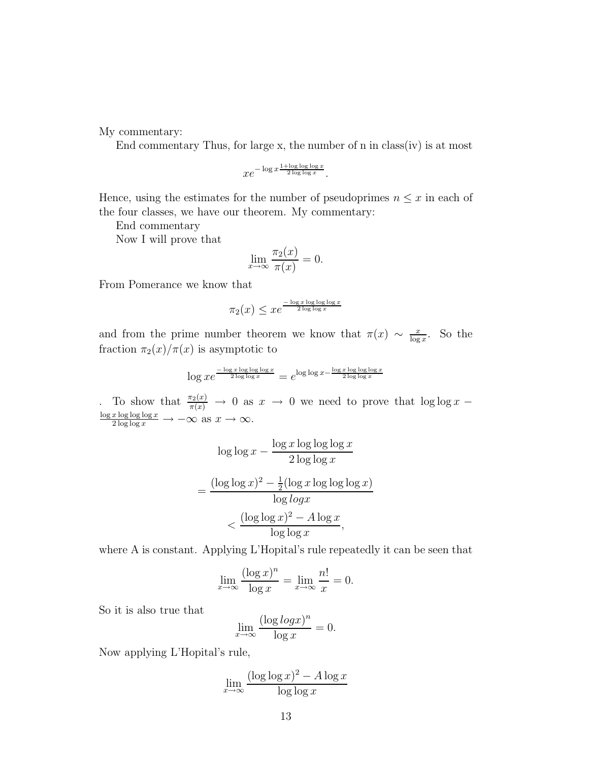My commentary:

End commentary Thus, for large x, the number of n in class(iv) is at most

$$
xe^{-\log x \frac{1+\log\log\log x}{2\log\log x}}.
$$

Hence, using the estimates for the number of pseudoprimes  $n \leq x$  in each of the four classes, we have our theorem. My commentary:

End commentary

Now I will prove that

$$
\lim_{x \to \infty} \frac{\pi_2(x)}{\pi(x)} = 0.
$$

From Pomerance we know that

$$
\pi_2(x) \leq xe^{\frac{-\log x \log \log \log x}{2 \log \log x}}
$$

and from the prime number theorem we know that  $\pi(x) \sim \frac{x}{\log x}$  $\frac{x}{\log x}$ . So the fraction  $\pi_2(x)/\pi(x)$  is asymptotic to

$$
\log x e^{\frac{-\log x \log \log \log x}{2 \log \log x}} = e^{\log \log x - \frac{\log x \log \log \log \log x}{2 \log \log x}}
$$

To show that  $\frac{\pi_2(x)}{\pi(x)} \to 0$  as  $x \to 0$  we need to prove that  $\log \log x$  $\frac{\log x \log \log \log x}{2 \log \log x} \to -\infty \text{ as } x \to \infty.$ 

$$
\log \log x - \frac{\log x \log \log \log x}{2 \log \log x}
$$

$$
= \frac{(\log \log x)^2 - \frac{1}{2} (\log x \log \log \log x)}{\log \log x}
$$

$$
< \frac{(\log \log x)^2 - A \log x}{\log \log x},
$$

where A is constant. Applying L'Hopital's rule repeatedly it can be seen that

$$
\lim_{x \to \infty} \frac{(\log x)^n}{\log x} = \lim_{x \to \infty} \frac{n!}{x} = 0.
$$

So it is also true that

$$
\lim_{x \to \infty} \frac{(\log \log x)^n}{\log x} = 0.
$$

Now applying L'Hopital's rule,

$$
\lim_{x \to \infty} \frac{(\log \log x)^2 - A \log x}{\log \log x}
$$